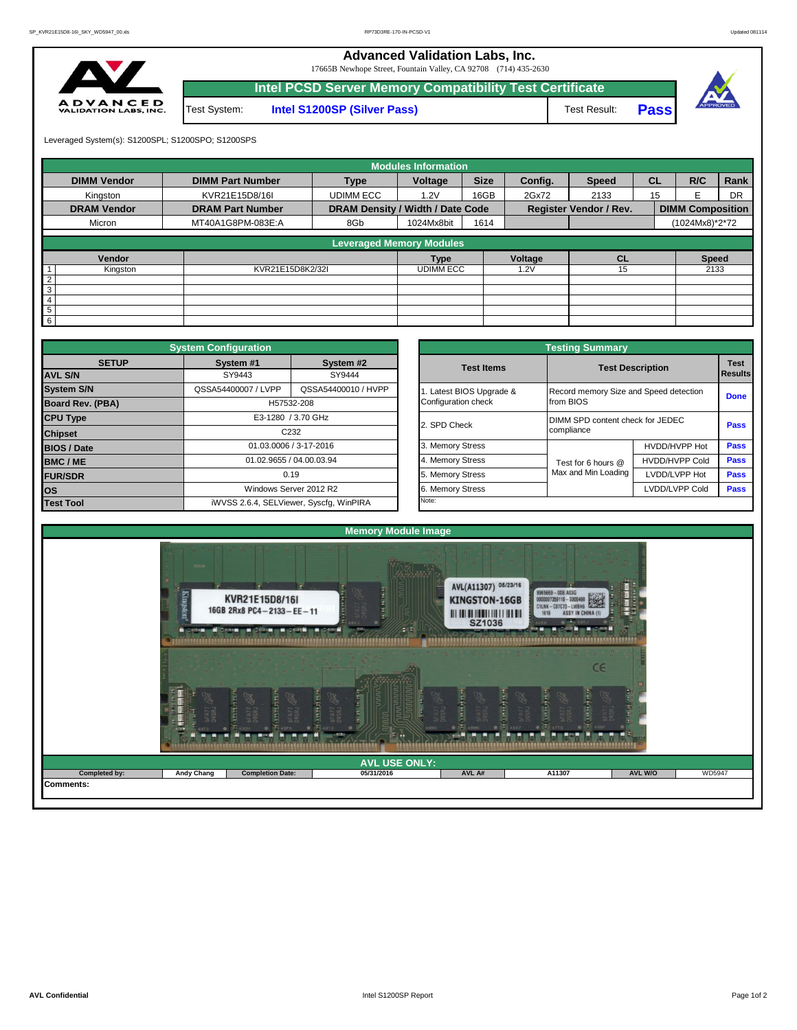**Advanced Validation Labs, Inc.** 

17665B Newhope Street, Fountain Valley, CA 92708 (714) 435-2630



|                                |              | Intel PCSD Server Memory Compatibility Test Certificate |              |             |      |
|--------------------------------|--------------|---------------------------------------------------------|--------------|-------------|------|
| $\mathcal{L}$ E D.<br>35, INC. | Test System: | <b>Intel S1200SP (Silver Pass)</b>                      | Test Result: | <b>Pass</b> | APPI |

Leveraged System(s): S1200SPL; S1200SPO; S1200SPS

|                    |                         |                                  | <b>Modules Information</b> |             |         |                                     |           |                         |           |
|--------------------|-------------------------|----------------------------------|----------------------------|-------------|---------|-------------------------------------|-----------|-------------------------|-----------|
| <b>DIMM Vendor</b> | <b>DIMM Part Number</b> | <b>Type</b>                      | Voltage                    | <b>Size</b> | Config. | <b>Speed</b>                        | <b>CL</b> | R/C                     | Rank      |
| Kingston           | KVR21E15D8/16I          | <b>UDIMM ECC</b>                 | 1.2V                       | 16GB        | 2Gx72   | 2133                                | 15        | F                       | <b>DR</b> |
| <b>DRAM Vendor</b> | <b>DRAM Part Number</b> | DRAM Density / Width / Date Code |                            |             |         |                                     |           | <b>DIMM Composition</b> |           |
| Micron             | MT40A1G8PM-083E:A       | 8Gb                              | 1024Mx8bit                 | 1614        |         |                                     |           | (1024Mx8)*2*72          |           |
|                    |                         | <b>Leveraged Memory Modules</b>  |                            |             |         |                                     |           |                         |           |
|                    |                         |                                  |                            |             |         |                                     |           |                         |           |
| Vendor             |                         |                                  | <b>Type</b>                |             | Voltage | <b>CL</b>                           |           | <b>Speed</b>            |           |
| Kingston           | KVR21E15D8K2/32I        |                                  | <b>UDIMM ECC</b>           |             | 1.2V    | <b>Register Vendor / Rev.</b><br>15 |           | 2133                    |           |
| $\overline{2}$     |                         |                                  |                            |             |         |                                     |           |                         |           |
| 3                  |                         |                                  |                            |             |         |                                     |           |                         |           |
| $\overline{4}$     |                         |                                  |                            |             |         |                                     |           |                         |           |
| $\overline{5}$     |                         |                                  |                            |             |         |                                     |           |                         |           |
| $6\overline{6}$    |                         |                                  |                            |             |         |                                     |           |                         |           |

|                         | <b>System Configuration</b> |                                         |                       | <b>Testing Summary</b>                 |                                  |             |
|-------------------------|-----------------------------|-----------------------------------------|-----------------------|----------------------------------------|----------------------------------|-------------|
| <b>SETUP</b>            | System #1                   | System #2                               | <b>Test Items</b>     |                                        | <b>Test Description</b>          | <b>Test</b> |
| <b>AVL S/N</b>          | SY9443                      | SY9444                                  |                       |                                        |                                  | Results     |
| <b>System S/N</b>       | QSSA54400007 / LVPP         | QSSA54400010 / HVPP                     | Latest BIOS Upgrade & | Record memory Size and Speed detection |                                  | <b>Done</b> |
| <b>Board Rev. (PBA)</b> |                             | H57532-208                              | Configuration check   | from BIOS                              |                                  |             |
| <b>CPU Type</b>         |                             | E3-1280 / 3.70 GHz                      | 2. SPD Check          |                                        | DIMM SPD content check for JEDEC |             |
| <b>Chipset</b>          |                             | C232                                    |                       | compliance                             |                                  | Pass        |
| <b>BIOS / Date</b>      |                             | 01.03.0006 / 3-17-2016                  | 3. Memory Stress      |                                        | HVDD/HVPP Hot                    | <b>Pass</b> |
| <b>BMC/ME</b>           |                             | 01.02.9655 / 04.00.03.94                | 4. Memory Stress      | Test for 6 hours @                     | <b>HVDD/HVPP Cold</b>            | <b>Pass</b> |
| <b>FUR/SDR</b>          |                             | 0.19                                    | 5. Memory Stress      | Max and Min Loading                    | LVDD/LVPP Hot                    | <b>Pass</b> |
| <b>los</b>              |                             | Windows Server 2012 R2                  | 6. Memory Stress      |                                        | LVDD/LVPP Cold                   | Pass        |
| <b>Test Tool</b>        |                             | iWVSS 2.6.4, SELViewer, Syscfg, WinPIRA | Note:                 |                                        |                                  |             |

|              | <b>System Configuration</b>             |                          |                       | <b>Testing Summary</b>           |                                        |                |  |  |  |
|--------------|-----------------------------------------|--------------------------|-----------------------|----------------------------------|----------------------------------------|----------------|--|--|--|
| <b>SETUP</b> | System #1                               | System #2                | <b>Test Items</b>     | <b>Test Description</b>          |                                        | <b>Test</b>    |  |  |  |
|              | SY9443                                  | SY9444                   |                       |                                  |                                        | <b>Results</b> |  |  |  |
|              | QSSA54400007 / LVPP                     | QSSA54400010 / HVPP      | Latest BIOS Upgrade & |                                  | Record memory Size and Speed detection |                |  |  |  |
| PBA)         |                                         | H57532-208               | Configuration check   | from BIOS                        |                                        |                |  |  |  |
|              |                                         | E3-1280 / 3.70 GHz       | 2. SPD Check          | DIMM SPD content check for JEDEC |                                        |                |  |  |  |
|              |                                         | C <sub>232</sub>         |                       | compliance                       |                                        | Pass           |  |  |  |
|              |                                         | 01.03.0006 / 3-17-2016   | 3. Memory Stress      |                                  | HVDD/HVPP Hot                          | Pass           |  |  |  |
|              |                                         | 01.02.9655 / 04.00.03.94 | 4. Memory Stress      | Test for 6 hours @               | <b>HVDD/HVPP Cold</b>                  | Pass           |  |  |  |
|              |                                         | 0.19                     | 5. Memory Stress      | Max and Min Loading              | LVDD/LVPP Hot                          |                |  |  |  |
|              |                                         | Windows Server 2012 R2   | 6. Memory Stress      |                                  | LVDD/LVPP Cold                         | <b>Pass</b>    |  |  |  |
|              | iWVSS 2.6.4, SELViewer, Syscfg, WinPIRA |                          | Note:                 |                                  |                                        |                |  |  |  |